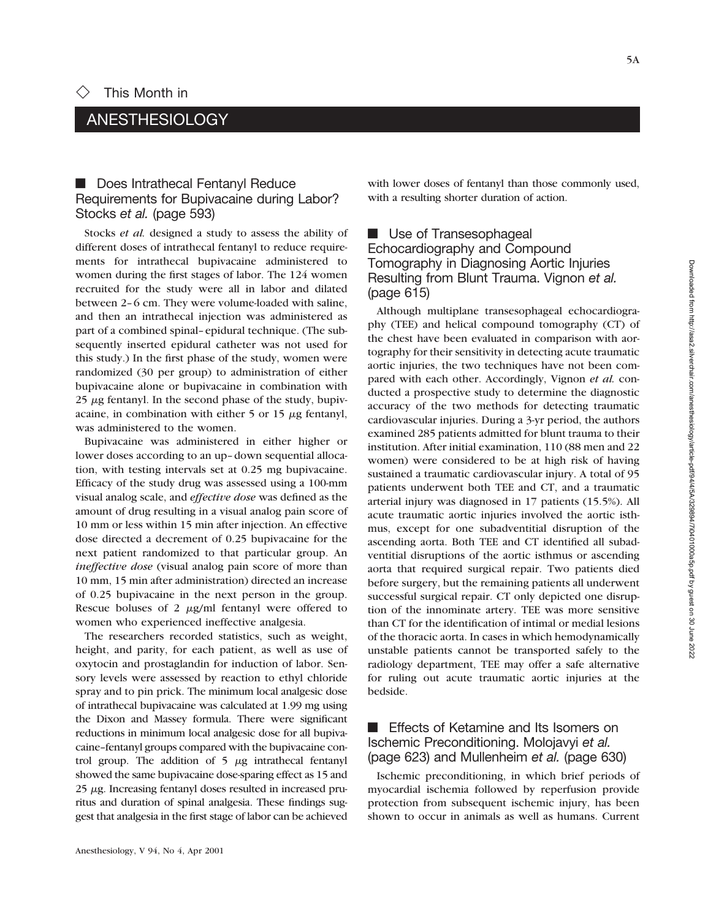## ANESTHESIOLOGY

## **E** Does Intrathecal Fentanyl Reduce Requirements for Bupivacaine during Labor? Stocks *et al.* (page 593)

Stocks *et al.* designed a study to assess the ability of different doses of intrathecal fentanyl to reduce requirements for intrathecal bupivacaine administered to women during the first stages of labor. The 124 women recruited for the study were all in labor and dilated between 2–6 cm. They were volume-loaded with saline, and then an intrathecal injection was administered as part of a combined spinal–epidural technique. (The subsequently inserted epidural catheter was not used for this study.) In the first phase of the study, women were randomized (30 per group) to administration of either bupivacaine alone or bupivacaine in combination with  $25 \mu$ g fentanyl. In the second phase of the study, bupivacaine, in combination with either  $5$  or  $15 \mu$ g fentanyl, was administered to the women.

Bupivacaine was administered in either higher or lower doses according to an up–down sequential allocation, with testing intervals set at 0.25 mg bupivacaine. Efficacy of the study drug was assessed using a 100-mm visual analog scale, and *effective dose* was defined as the amount of drug resulting in a visual analog pain score of 10 mm or less within 15 min after injection. An effective dose directed a decrement of 0.25 bupivacaine for the next patient randomized to that particular group. An *ineffective dose* (visual analog pain score of more than 10 mm, 15 min after administration) directed an increase of 0.25 bupivacaine in the next person in the group. Rescue boluses of 2  $\mu$ g/ml fentanyl were offered to women who experienced ineffective analgesia.

The researchers recorded statistics, such as weight, height, and parity, for each patient, as well as use of oxytocin and prostaglandin for induction of labor. Sensory levels were assessed by reaction to ethyl chloride spray and to pin prick. The minimum local analgesic dose of intrathecal bupivacaine was calculated at 1.99 mg using the Dixon and Massey formula. There were significant reductions in minimum local analgesic dose for all bupivacaine–fentanyl groups compared with the bupivacaine control group. The addition of  $5 \mu g$  intrathecal fentanyl showed the same bupivacaine dose-sparing effect as 15 and  $25 \mu$ g. Increasing fentanyl doses resulted in increased pruritus and duration of spinal analgesia. These findings suggest that analgesia in the first stage of labor can be achieved

with lower doses of fentanyl than those commonly used, with a resulting shorter duration of action.

## **E** Use of Transesophageal Echocardiography and Compound Tomography in Diagnosing Aortic Injuries Resulting from Blunt Trauma. Vignon *et al.* (page 615)

Although multiplane transesophageal echocardiography (TEE) and helical compound tomography (CT) of the chest have been evaluated in comparison with aortography for their sensitivity in detecting acute traumatic aortic injuries, the two techniques have not been compared with each other. Accordingly, Vignon *et al.* conducted a prospective study to determine the diagnostic accuracy of the two methods for detecting traumatic cardiovascular injuries. During a 3-yr period, the authors examined 285 patients admitted for blunt trauma to their institution. After initial examination, 110 (88 men and 22 women) were considered to be at high risk of having sustained a traumatic cardiovascular injury. A total of 95 patients underwent both TEE and CT, and a traumatic arterial injury was diagnosed in 17 patients (15.5%). All acute traumatic aortic injuries involved the aortic isthmus, except for one subadventitial disruption of the ascending aorta. Both TEE and CT identified all subadventitial disruptions of the aortic isthmus or ascending aorta that required surgical repair. Two patients died before surgery, but the remaining patients all underwent successful surgical repair. CT only depicted one disruption of the innominate artery. TEE was more sensitive than CT for the identification of intimal or medial lesions of the thoracic aorta. In cases in which hemodynamically unstable patients cannot be transported safely to the radiology department, TEE may offer a safe alternative for ruling out acute traumatic aortic injuries at the bedside.

## $\blacksquare$  Effects of Ketamine and Its Isomers on Ischemic Preconditioning. Molojavyi *et al.* (page 623) and Mullenheim *et al.* (page 630)

Ischemic preconditioning, in which brief periods of myocardial ischemia followed by reperfusion provide protection from subsequent ischemic injury, has been shown to occur in animals as well as humans. Current